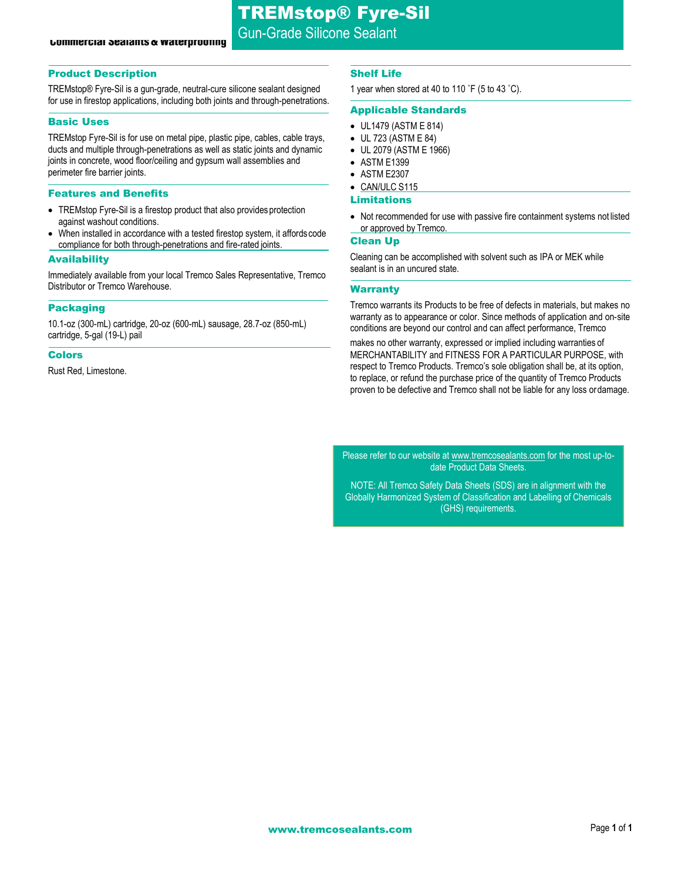# **Commercial Sealants & Waterprooning**

## Product Description

TREMstop® Fyre-Sil is a gun-grade, neutral-cure silicone sealant designed for use in firestop applications, including both joints and through-penetrations.

#### Basic Uses

TREMstop Fyre-Sil is for use on metal pipe, plastic pipe, cables, cable trays, ducts and multiple through-penetrations as well as static joints and dynamic joints in concrete, wood floor/ceiling and gypsum wall assemblies and perimeter fire barrier joints.

#### Features and Benefits

- TREMstop Fyre-Sil is a firestop product that also provides protection against washout conditions.
- When installed in accordance with a tested firestop system, it affordscode compliance for both through-penetrations and fire-rated joints.

#### Availability

Immediately available from your local Tremco Sales Representative, Tremco Distributor or Tremco Warehouse.

#### Packaging

10.1-oz (300-mL) cartridge, 20-oz (600-mL) sausage, 28.7-oz (850-mL) cartridge, 5-gal (19-L) pail

#### Colors

Rust Red, Limestone.

#### Shelf Life

1 year when stored at 40 to 110 ˚F (5 to 43 ˚C).

#### Applicable Standards

- UL1479 (ASTM E 814)
- UL 723 (ASTM E 84)
- UL 2079 (ASTM E 1966)
- ASTM E1399
- ASTM E2307
- CAN/ULC S115

# Limitations

• Not recommended for use with passive fire containment systems not listed or approved by Tremco.

#### Clean Up

Cleaning can be accomplished with solvent such as IPA or MEK while sealant is in an uncured state.

## **Warranty**

Tremco warrants its Products to be free of defects in materials, but makes no warranty as to appearance or color. Since methods of application and on-site conditions are beyond our control and can affect performance, Tremco

makes no other warranty, expressed or implied including warranties of MERCHANTABILITY and FITNESS FOR A PARTICULAR PURPOSE, with respect to Tremco Products. Tremco's sole obligation shall be, at its option, to replace, or refund the purchase price of the quantity of Tremco Products proven to be defective and Tremco shall not be liable for any loss ordamage.

Please refer to our website a[t www.tremcosealants.com](http://www.tremcosealants.com/) for the most up-todate Product Data Sheets.

NOTE: All Tremco Safety Data Sheets (SDS) are in alignment with the Globally Harmonized System of Classification and Labelling of Chemicals (GHS) requirements.